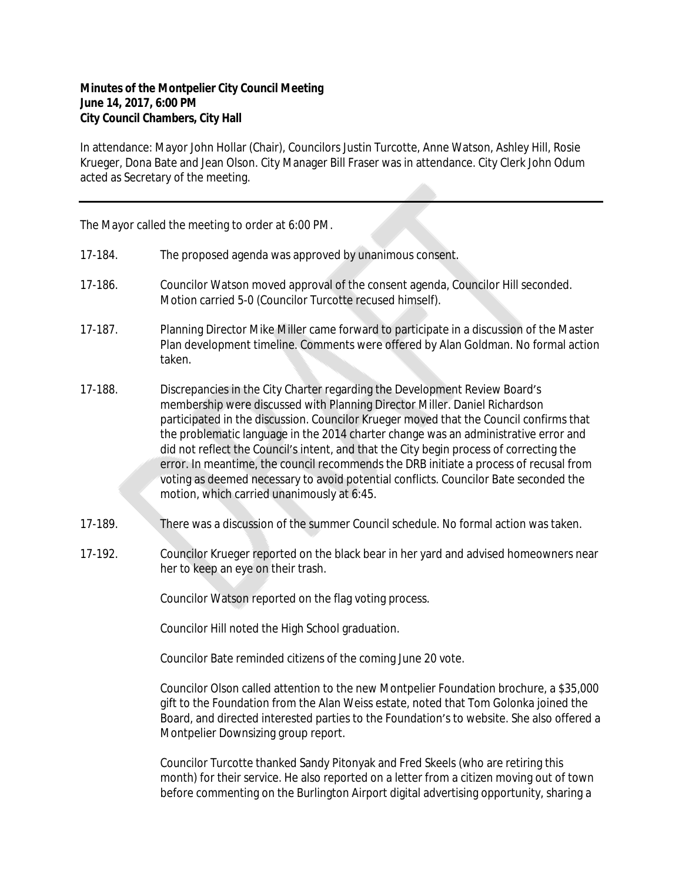## **Minutes of the Montpelier City Council Meeting June 14, 2017, 6:00 PM City Council Chambers, City Hall**

In attendance: Mayor John Hollar (Chair), Councilors Justin Turcotte, Anne Watson, Ashley Hill, Rosie Krueger, Dona Bate and Jean Olson. City Manager Bill Fraser was in attendance. City Clerk John Odum acted as Secretary of the meeting.

The Mayor called the meeting to order at 6:00 PM.

- 17-184. The proposed agenda was approved by unanimous consent.
- 17-186. Councilor Watson moved approval of the consent agenda, Councilor Hill seconded. Motion carried 5-0 (Councilor Turcotte recused himself).
- 17-187. Planning Director Mike Miller came forward to participate in a discussion of the Master Plan development timeline. Comments were offered by Alan Goldman. No formal action taken.
- 17-188. Discrepancies in the City Charter regarding the Development Review Board's membership were discussed with Planning Director Miller. Daniel Richardson participated in the discussion. Councilor Krueger moved that the Council confirms that the problematic language in the 2014 charter change was an administrative error and did not reflect the Council's intent, and that the City begin process of correcting the error. In meantime, the council recommends the DRB initiate a process of recusal from voting as deemed necessary to avoid potential conflicts. Councilor Bate seconded the motion, which carried unanimously at 6:45.
- 17-189. There was a discussion of the summer Council schedule. No formal action was taken.
- 17-192. Councilor Krueger reported on the black bear in her yard and advised homeowners near her to keep an eye on their trash.

Councilor Watson reported on the flag voting process.

Councilor Hill noted the High School graduation.

Councilor Bate reminded citizens of the coming June 20 vote.

Councilor Olson called attention to the new Montpelier Foundation brochure, a \$35,000 gift to the Foundation from the Alan Weiss estate, noted that Tom Golonka joined the Board, and directed interested parties to the Foundation's to website. She also offered a Montpelier Downsizing group report.

Councilor Turcotte thanked Sandy Pitonyak and Fred Skeels (who are retiring this month) for their service. He also reported on a letter from a citizen moving out of town before commenting on the Burlington Airport digital advertising opportunity, sharing a